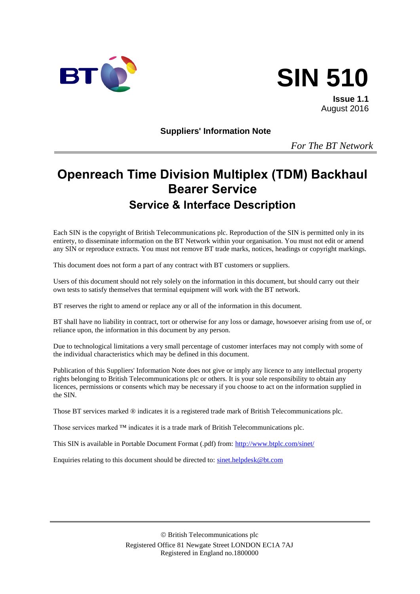



**Issue 1.1** August 2016

**Suppliers' Information Note**

*For The BT Network*

# **Openreach Time Division Multiplex (TDM) Backhaul Bearer Service Service & Interface Description**

Each SIN is the copyright of British Telecommunications plc. Reproduction of the SIN is permitted only in its entirety, to disseminate information on the BT Network within your organisation. You must not edit or amend any SIN or reproduce extracts. You must not remove BT trade marks, notices, headings or copyright markings.

This document does not form a part of any contract with BT customers or suppliers.

Users of this document should not rely solely on the information in this document, but should carry out their own tests to satisfy themselves that terminal equipment will work with the BT network.

BT reserves the right to amend or replace any or all of the information in this document.

BT shall have no liability in contract, tort or otherwise for any loss or damage, howsoever arising from use of, or reliance upon, the information in this document by any person.

Due to technological limitations a very small percentage of customer interfaces may not comply with some of the individual characteristics which may be defined in this document.

Publication of this Suppliers' Information Note does not give or imply any licence to any intellectual property rights belonging to British Telecommunications plc or others. It is your sole responsibility to obtain any licences, permissions or consents which may be necessary if you choose to act on the information supplied in the SIN.

Those BT services marked ® indicates it is a registered trade mark of British Telecommunications plc.

Those services marked ™ indicates it is a trade mark of British Telecommunications plc.

This SIN is available in Portable Document Format (.pdf) from: <http://www.btplc.com/sinet/>

Enquiries relating to this document should be directed to: [sinet.helpdesk@bt.com](mailto:sinet.helpdesk@bt.com)

 British Telecommunications plc Registered Office 81 Newgate Street LONDON EC1A 7AJ Registered in England no.1800000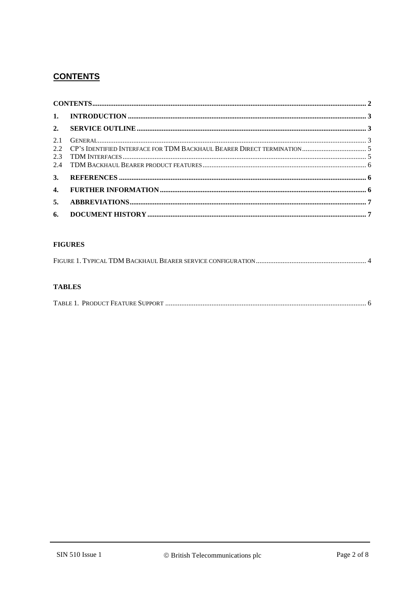# **CONTENTS**

#### **FIGURES**

#### **TABLES**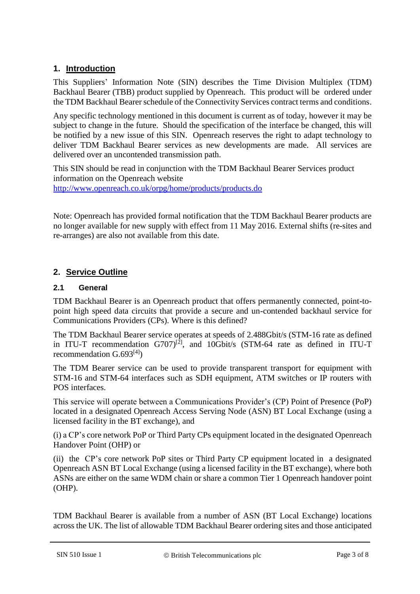#### **1. Introduction**

This Suppliers' Information Note (SIN) describes the Time Division Multiplex (TDM) Backhaul Bearer (TBB) product supplied by Openreach. This product will be ordered under the TDM Backhaul Bearer schedule of the Connectivity Services contract terms and conditions.

Any specific technology mentioned in this document is current as of today, however it may be subject to change in the future. Should the specification of the interface be changed, this will be notified by a new issue of this SIN. Openreach reserves the right to adapt technology to deliver TDM Backhaul Bearer services as new developments are made. All services are delivered over an uncontended transmission path.

This SIN should be read in conjunction with the TDM Backhaul Bearer Services product information on the Openreach website <http://www.openreach.co.uk/orpg/home/products/products.do>

Note: Openreach has provided formal notification that the TDM Backhaul Bearer products are no longer available for new supply with effect from 11 May 2016. External shifts (re-sites and re-arranges) are also not available from this date.

## **2. Service Outline**

#### **2.1 General**

TDM Backhaul Bearer is an Openreach product that offers permanently connected, point-topoint high speed data circuits that provide a secure and un-contended backhaul service for Communications Providers (CPs). Where is this defined?

The TDM Backhaul Bearer service operates at speeds of 2.488Gbit/s (STM-16 rate as defined in ITU-T recommendation  $G707$ <sup>[2]</sup>, and  $10\overline{G}$ bit/s (STM-64 rate as defined in ITU-T recommendation  $G.693^{[4]}$ )

The TDM Bearer service can be used to provide transparent transport for equipment with STM-16 and STM-64 interfaces such as SDH equipment, ATM switches or IP routers with POS interfaces.

This service will operate between a Communications Provider's (CP) Point of Presence (PoP) located in a designated Openreach Access Serving Node (ASN) BT Local Exchange (using a licensed facility in the BT exchange), and

(i) a CP's core network PoP or Third Party CPs equipment located in the designated Openreach Handover Point (OHP) or

(ii) the CP's core network PoP sites or Third Party CP equipment located in a designated Openreach ASN BT Local Exchange (using a licensed facility in the BT exchange), where both ASNs are either on the same WDM chain or share a common Tier 1 Openreach handover point (OHP).

TDM Backhaul Bearer is available from a number of ASN (BT Local Exchange) locations across the UK. The list of allowable TDM Backhaul Bearer ordering sites and those anticipated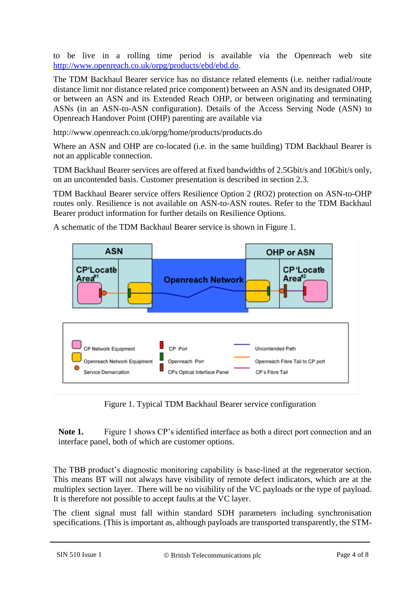to be live in a rolling time period is available via the Openreach web site [http://www.openreach.co.uk/orpg/products/ebd/ebd.do.](http://www.openreach.co.uk/orpg/products/ebd/ebd.do)

The TDM Backhaul Bearer service has no distance related elements (i.e. neither radial/route distance limit nor distance related price component) between an ASN and its designated OHP, or between an ASN and its Extended Reach OHP, or between originating and terminating ASNs (in an ASN-to-ASN configuration). Details of the Access Serving Node (ASN) to Openreach Handover Point (OHP) parenting are available via

http://www.openreach.co.uk/orpg/home/products/products.do

Where an ASN and OHP are co-located (i.e. in the same building) TDM Backhaul Bearer is not an applicable connection.

TDM Backhaul Bearer services are offered at fixed bandwidths of 2.5Gbit/s and 10Gbit/s only, on an uncontended basis. Customer presentation is described in section [2.3.](#page-4-0)

TDM Backhaul Bearer service offers Resilience Option 2 (RO2) protection on ASN-to-OHP routes only. Resilience is not available on ASN-to-ASN routes. Refer to the TDM Backhaul Bearer product information for further details on Resilience Options.



A schematic of the TDM Backhaul Bearer service is shown in Figure 1.

Figure 1. Typical TDM Backhaul Bearer service configuration

Note 1. Figure 1 shows CP's identified interface as both a direct port connection and an interface panel, both of which are customer options.

The TBB product's diagnostic monitoring capability is base-lined at the regenerator section. This means BT will not always have visibility of remote defect indicators, which are at the multiplex section layer. There will be no visibility of the VC payloads or the type of payload. It is therefore not possible to accept faults at the VC layer.

The client signal must fall within standard SDH parameters including synchronisation specifications. (This is important as, although payloads are transported transparently, the STM-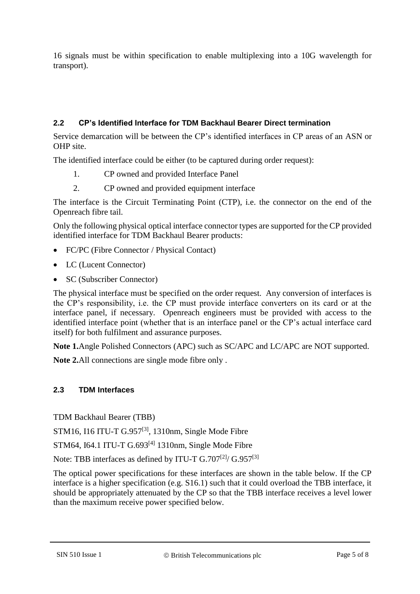16 signals must be within specification to enable multiplexing into a 10G wavelength for transport).

#### **2.2 CP's Identified Interface for TDM Backhaul Bearer Direct termination**

Service demarcation will be between the CP's identified interfaces in CP areas of an ASN or OHP site.

The identified interface could be either (to be captured during order request):

- 1. CP owned and provided Interface Panel
- 2. CP owned and provided equipment interface

The interface is the Circuit Terminating Point (CTP), i.e. the connector on the end of the Openreach fibre tail.

Only the following physical optical interface connector types are supported for the CP provided identified interface for TDM Backhaul Bearer products:

- FC/PC (Fibre Connector / Physical Contact)
- LC (Lucent Connector)
- SC (Subscriber Connector)

The physical interface must be specified on the order request. Any conversion of interfaces is the CP's responsibility, i.e. the CP must provide interface converters on its card or at the interface panel, if necessary. Openreach engineers must be provided with access to the identified interface point (whether that is an interface panel or the CP's actual interface card itself) for both fulfilment and assurance purposes.

**Note 1.**Angle Polished Connectors (APC) such as SC/APC and LC/APC are NOT supported.

**Note 2.**All connections are single mode fibre only .

#### <span id="page-4-0"></span>**2.3 TDM Interfaces**

TDM Backhaul Bearer (TBB)

STM16, I16 ITU-T G.957[3], 1310nm, Single Mode Fibre

STM64, I64.1 ITU-T  $G.693^{[4]}$  1310nm, Single Mode Fibre

Note: TBB interfaces as defined by ITU-T G.707<sup>[2]</sup>/ G.957<sup>[3]</sup>

The optical power specifications for these interfaces are shown in the table below. If the CP interface is a higher specification (e.g. S16.1) such that it could overload the TBB interface, it should be appropriately attenuated by the CP so that the TBB interface receives a level lower than the maximum receive power specified below.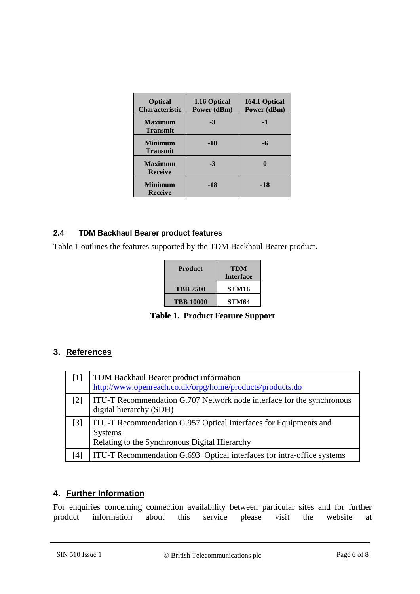| <b>Optical</b><br><b>Characteristic</b> | <b>I.16 Optical</b><br>Power (dBm) | <b>I64.1 Optical</b><br>Power (dBm) |
|-----------------------------------------|------------------------------------|-------------------------------------|
| <b>Maximum</b><br><b>Transmit</b>       | $-3$                               | -1                                  |
| <b>Minimum</b><br><b>Transmit</b>       | $-10$                              | -6                                  |
| <b>Maximum</b><br><b>Receive</b>        | $-3$                               |                                     |
| <b>Minimum</b><br><b>Receive</b>        | -18                                | $-18$                               |

#### **2.4 TDM Backhaul Bearer product features**

Table 1 outlines the features supported by the TDM Backhaul Bearer product.

| <b>Product</b>   | TDM<br><b>Interface</b> |
|------------------|-------------------------|
| <b>TBB 2500</b>  | STM16                   |
| <b>TBB 10000</b> | STM64                   |

**Table 1. Product Feature Support**

### **3. References**

| $\lceil 1 \rceil$ | TDM Backhaul Bearer product information<br>http://www.openreach.co.uk/orpg/home/products/products.do                                |
|-------------------|-------------------------------------------------------------------------------------------------------------------------------------|
| $\lceil 2 \rceil$ | ITU-T Recommendation G.707 Network node interface for the synchronous<br>digital hierarchy (SDH)                                    |
| $\lceil 3 \rceil$ | ITU-T Recommendation G.957 Optical Interfaces for Equipments and<br><b>Systems</b><br>Relating to the Synchronous Digital Hierarchy |
| [4]               | ITU-T Recommendation G.693 Optical interfaces for intra-office systems                                                              |

### **4. Further Information**

For enquiries concerning connection availability between particular sites and for further product information about this service please visit the website at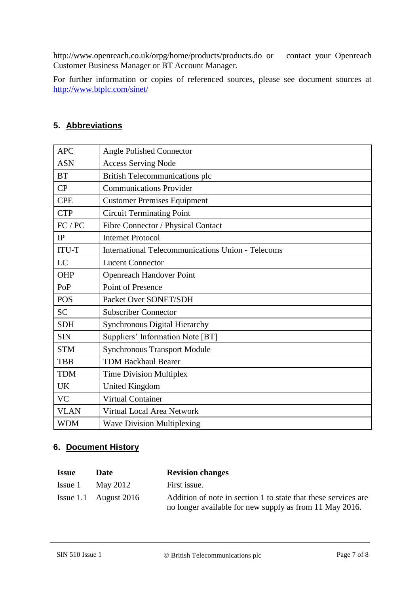http://www.openreach.co.uk/orpg/home/products/products.do or contact your Openreach Customer Business Manager or BT Account Manager.

For further information or copies of referenced sources, please see document sources at <http://www.btplc.com/sinet/>

### **5. Abbreviations**

| <b>APC</b>   | <b>Angle Polished Connector</b>                          |  |  |  |
|--------------|----------------------------------------------------------|--|--|--|
| <b>ASN</b>   | <b>Access Serving Node</b>                               |  |  |  |
| <b>BT</b>    | <b>British Telecommunications plc</b>                    |  |  |  |
| CP           | <b>Communications Provider</b>                           |  |  |  |
| <b>CPE</b>   | <b>Customer Premises Equipment</b>                       |  |  |  |
| <b>CTP</b>   | <b>Circuit Terminating Point</b>                         |  |  |  |
| FC / PC      | Fibre Connector / Physical Contact                       |  |  |  |
| IP           | <b>Internet Protocol</b>                                 |  |  |  |
| <b>ITU-T</b> | <b>International Telecommunications Union - Telecoms</b> |  |  |  |
| LC           | <b>Lucent Connector</b>                                  |  |  |  |
| OHP          | Openreach Handover Point                                 |  |  |  |
| PoP          | Point of Presence                                        |  |  |  |
| <b>POS</b>   | Packet Over SONET/SDH                                    |  |  |  |
| <b>SC</b>    | <b>Subscriber Connector</b>                              |  |  |  |
| <b>SDH</b>   | Synchronous Digital Hierarchy                            |  |  |  |
| <b>SIN</b>   | Suppliers' Information Note [BT]                         |  |  |  |
| <b>STM</b>   | <b>Synchronous Transport Module</b>                      |  |  |  |
| <b>TBB</b>   | <b>TDM Backhaul Bearer</b>                               |  |  |  |
| <b>TDM</b>   | <b>Time Division Multiplex</b>                           |  |  |  |
| <b>UK</b>    | <b>United Kingdom</b>                                    |  |  |  |
| <b>VC</b>    | <b>Virtual Container</b>                                 |  |  |  |
| <b>VLAN</b>  | Virtual Local Area Network                               |  |  |  |
| <b>WDM</b>   | <b>Wave Division Multiplexing</b>                        |  |  |  |

### **6. Document History**

| <b>Issue</b> | Date                    | <b>Revision changes</b>                                                                                                   |
|--------------|-------------------------|---------------------------------------------------------------------------------------------------------------------------|
| Issue 1      | May 2012                | First issue.                                                                                                              |
|              | Issue 1.1 August $2016$ | Addition of note in section 1 to state that these services are<br>no longer available for new supply as from 11 May 2016. |